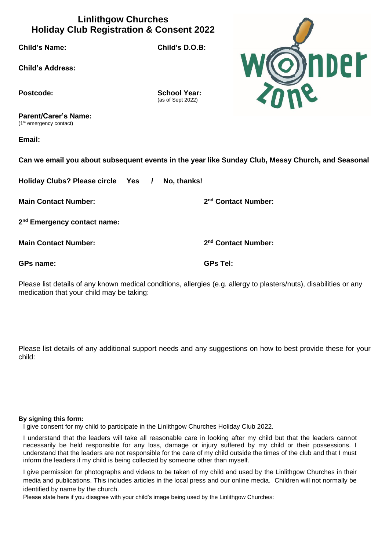## **Linlithgow Churches Holiday Club Registration & Consent 2022**

**Child's Name: Child's D.O.B:**



Postcode: School Year: (as of Sept 2022)

**Parent/Carer's Name:** (1st emergency contact)

**Email:**

**Can we email you about subsequent events in the year like Sunday Club, Messy Church, and Seasonal**

**Holiday Clubs? Please circle Yes / No, thanks!**

**Main Contact Number: 2**

**2 nd Emergency contact name:** 

**Main Contact Number: 2**

**nd Contact Number:** 

**nd Contact Number:** 

**GPs name: GPs Tel:**

Please list details of any known medical conditions, allergies (e.g. allergy to plasters/nuts), disabilities or any medication that your child may be taking:

Please list details of any additional support needs and any suggestions on how to best provide these for your child:

## **By signing this form:**

I give consent for my child to participate in the Linlithgow Churches Holiday Club 2022.

I understand that the leaders will take all reasonable care in looking after my child but that the leaders cannot necessarily be held responsible for any loss, damage or injury suffered by my child or their possessions. I understand that the leaders are not responsible for the care of my child outside the times of the club and that I must inform the leaders if my child is being collected by someone other than myself.

I give permission for photographs and videos to be taken of my child and used by the Linlithgow Churches in their media and publications. This includes articles in the local press and our online media. Children will not normally be identified by name by the church.

Please state here if you disagree with your child's image being used by the Linlithgow Churches: